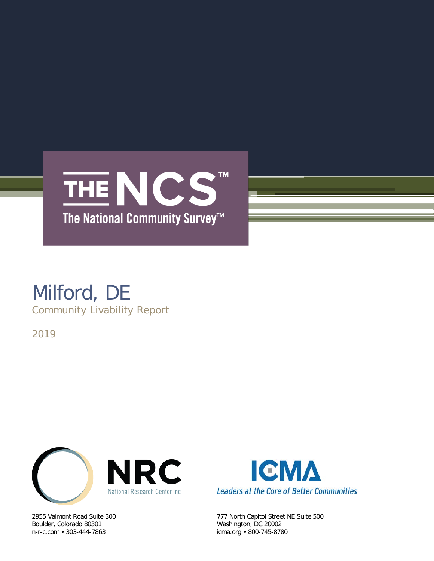

### Milford, DE Community Livability Report

2019



Boulder, Colorado 80301 Washington, DC 20002



2955 Valmont Road Suite 300 777 North Capitol Street NE Suite 500 icma.org • 800-745-8780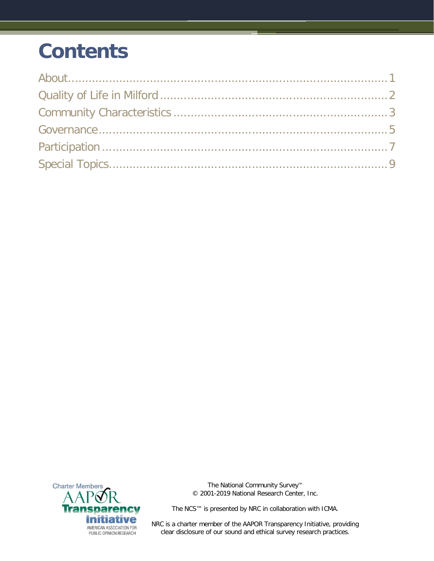# **Contents**



The National Community Survey™ © 2001-2019 National Research Center, Inc.

The NCS™ is presented by NRC in collaboration with ICMA.

NRC is a charter member of the AAPOR Transparency Initiative, providing clear disclosure of our sound and ethical survey research practices.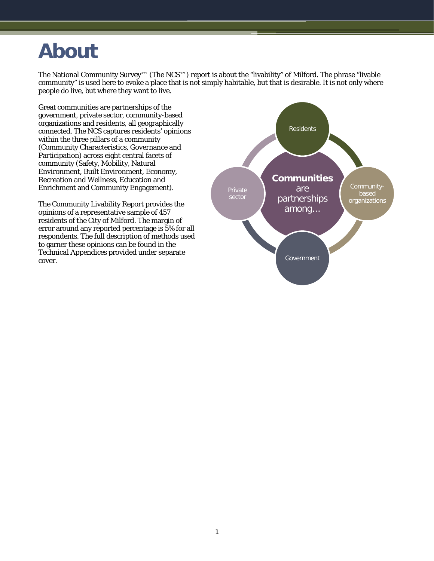### <span id="page-2-0"></span>**About**

The National Community Survey™ (The NCS™) report is about the "livability" of Milford. The phrase "livable community" is used here to evoke a place that is not simply habitable, but that is desirable. It is not only where people do live, but where they want to live.

Great communities are partnerships of the government, private sector, community-based organizations and residents, all geographically connected. The NCS captures residents' opinions within the three pillars of a community (Community Characteristics, Governance and Participation) across eight central facets of community (Safety, Mobility, Natural Environment, Built Environment, Economy, Recreation and Wellness, Education and Enrichment and Community Engagement).

The Community Livability Report provides the opinions of a representative sample of 457 residents of the City of Milford. The margin of error around any reported percentage is 5% for all respondents. The full description of methods used to garner these opinions can be found in the *Technical Appendices* provided under separate cover.

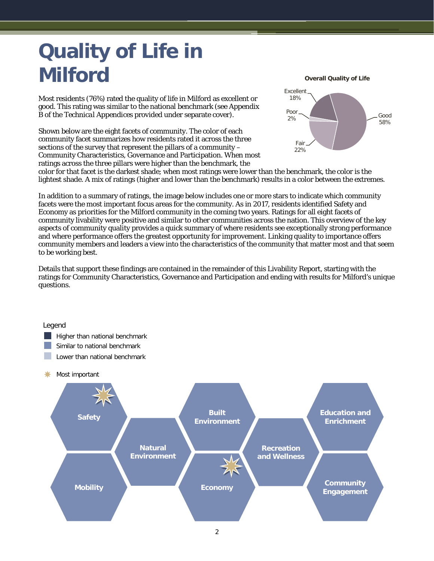# <span id="page-3-0"></span>**Quality of Life in Milford**

Most residents (76%) rated the quality of life in Milford as excellent or good. This rating was similar to the national benchmark (see Appendix B of the *Technical Appendices* provided under separate cover).

Shown below are the eight facets of community. The color of each community facet summarizes how residents rated it across the three sections of the survey that represent the pillars of a community – Community Characteristics, Governance and Participation. When most ratings across the three pillars were higher than the benchmark, the

**Overall Quality of Life**



color for that facet is the darkest shade; when most ratings were lower than the benchmark, the color is the lightest shade. A mix of ratings (higher and lower than the benchmark) results in a color between the extremes.

In addition to a summary of ratings, the image below includes one or more stars to indicate which community facets were the most important focus areas for the community. As in 2017, residents identified Safety and Economy as priorities for the Milford community in the coming two years. Ratings for all eight facets of community livability were positive and similar to other communities across the nation. This overview of the key aspects of community quality provides a quick summary of where residents see exceptionally strong performance and where performance offers the greatest opportunity for improvement. Linking quality to importance offers community members and leaders a view into the characteristics of the community that matter most and that seem to be working best.

Details that support these findings are contained in the remainder of this Livability Report, starting with the ratings for Community Characteristics, Governance and Participation and ending with results for Milford's unique questions.

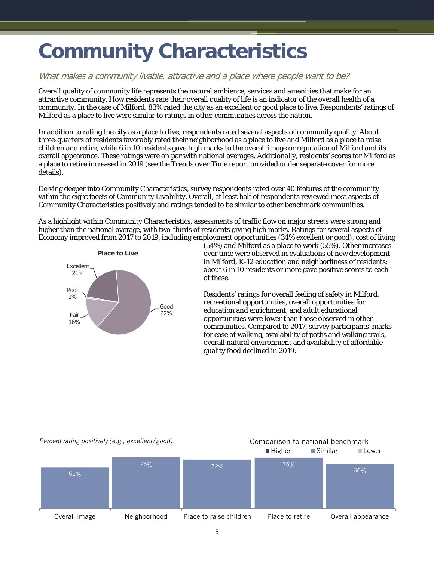# <span id="page-4-0"></span>**Community Characteristics**

#### What makes a community livable, attractive and a place where people want to be?

Overall quality of community life represents the natural ambience, services and amenities that make for an attractive community. How residents rate their overall quality of life is an indicator of the overall health of a community. In the case of Milford, 83% rated the city as an excellent or good place to live. Respondents' ratings of Milford as a place to live were similar to ratings in other communities across the nation.

In addition to rating the city as a place to live, respondents rated several aspects of community quality. About three-quarters of residents favorably rated their neighborhood as a place to live and Milford as a place to raise children and retire, while 6 in 10 residents gave high marks to the overall image or reputation of Milford and its overall appearance. These ratings were on par with national averages. Additionally, residents' scores for Milford as a place to retire increased in 2019 (see the *Trends over Time* report provided under separate cover for more details).

Delving deeper into Community Characteristics, survey respondents rated over 40 features of the community within the eight facets of Community Livability. Overall, at least half of respondents reviewed most aspects of Community Characteristics positively and ratings tended to be similar to other benchmark communities.

As a highlight within Community Characteristics, assessments of traffic flow on major streets were strong and higher than the national average, with two-thirds of residents giving high marks. Ratings for several aspects of Economy improved from 2017 to 2019, including employment opportunities (34% excellent or good), cost of living



(54%) and Milford as a place to work (55%). Other increases over time were observed in evaluations of new development in Milford, K-12 education and neighborliness of residents; about 6 in 10 residents or more gave positive scores to each of these.

Residents' ratings for overall feeling of safety in Milford, recreational opportunities, overall opportunities for education and enrichment, and adult educational opportunities were lower than those observed in other communities. Compared to 2017, survey participants' marks for ease of walking, availability of paths and walking trails, overall natural environment and availability of affordable quality food declined in 2019.

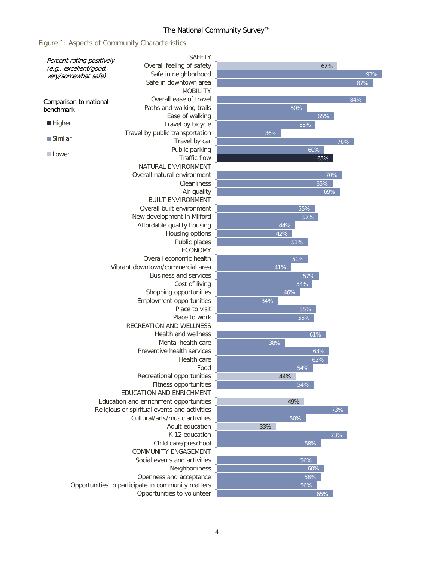#### Figure 1: Aspects of Community Characteristics

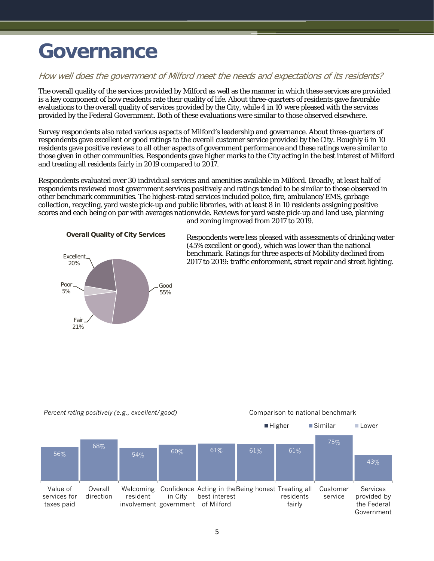## <span id="page-6-0"></span>**Governance**

#### How well does the government of Milford meet the needs and expectations of its residents?

The overall quality of the services provided by Milford as well as the manner in which these services are provided is a key component of how residents rate their quality of life. About three-quarters of residents gave favorable evaluations to the overall quality of services provided by the City, while 4 in 10 were pleased with the services provided by the Federal Government. Both of these evaluations were similar to those observed elsewhere.

Survey respondents also rated various aspects of Milford's leadership and governance. About three-quarters of respondents gave excellent or good ratings to the overall customer service provided by the City. Roughly 6 in 10 residents gave positive reviews to all other aspects of government performance and these ratings were similar to those given in other communities. Respondents gave higher marks to the City acting in the best interest of Milford and treating all residents fairly in 2019 compared to 2017.

Respondents evaluated over 30 individual services and amenities available in Milford. Broadly, at least half of respondents reviewed most government services positively and ratings tended to be similar to those observed in other benchmark communities. The highest-rated services included police, fire, ambulance/EMS, garbage collection, recycling, yard waste pick-up and public libraries, with at least 8 in 10 residents assigning positive scores and each being on par with averages nationwide. Reviews for yard waste pick-up and land use, planning and zoning improved from 2017 to 2019.





Respondents were less pleased with assessments of drinking water (45% excellent or good), which was lower than the national benchmark. Ratings for three aspects of Mobility declined from 2017 to 2019: traffic enforcement, street repair and street lighting.

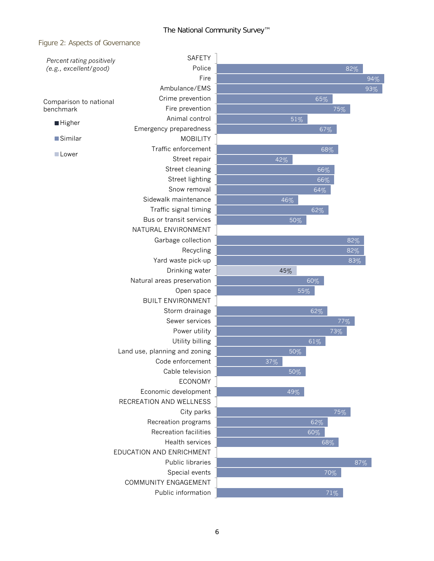#### Figure 2: Aspects of Governance

| Percent rating positively<br>(e.g., excellent/good) | <b>SAFETY</b>                 |        |        |  |
|-----------------------------------------------------|-------------------------------|--------|--------|--|
|                                                     | Police                        |        | 82%    |  |
|                                                     | Fire                          |        | 94%    |  |
|                                                     | Ambulance/EMS                 |        | 93%    |  |
| Comparison to national                              | Crime prevention              |        | 65%    |  |
| benchmark                                           | Fire prevention               |        | 75%    |  |
| <b>Higher</b>                                       | Animal control                | 51%    |        |  |
|                                                     | Emergency preparedness        |        | 67%    |  |
| <b>Similar</b>                                      | <b>MOBILITY</b>               |        |        |  |
|                                                     | Traffic enforcement           |        | 68%    |  |
| Lower                                               | Street repair                 | 42%    |        |  |
|                                                     | Street cleaning               |        | 66%    |  |
|                                                     | Street lighting               |        | 66%    |  |
|                                                     | Snow removal                  |        | 64%    |  |
|                                                     | Sidewalk maintenance          | 46%    |        |  |
|                                                     | Traffic signal timing         |        | 62%    |  |
|                                                     | Bus or transit services       | 50%    |        |  |
|                                                     | NATURAL ENVIRONMENT           |        |        |  |
|                                                     | Garbage collection            |        | 82%    |  |
|                                                     | Recycling                     |        | 82%    |  |
|                                                     | Yard waste pick-up            |        | 83%    |  |
|                                                     | Drinking water                | 45%    |        |  |
| Natural areas preservation                          |                               |        | 60%    |  |
|                                                     | Open space                    | 55%    |        |  |
|                                                     | <b>BUILT ENVIRONMENT</b>      |        |        |  |
|                                                     | Storm drainage                |        | 62%    |  |
|                                                     | Sewer services                |        | $77\%$ |  |
|                                                     | Power utility                 |        | 73%    |  |
|                                                     | Utility billing               |        | 61%    |  |
|                                                     | Land use, planning and zoning | 50%    |        |  |
|                                                     | Code enforcement              | 37%    |        |  |
|                                                     | Cable television              | $50\%$ |        |  |
|                                                     | <b>ECONOMY</b>                |        |        |  |
|                                                     | Economic development          | 49%    |        |  |
|                                                     | RECREATION AND WELLNESS       |        |        |  |
|                                                     | City parks                    |        | 75%    |  |
|                                                     | Recreation programs           |        | 62%    |  |
|                                                     | Recreation facilities         |        | 60%    |  |
|                                                     | Health services               |        | 68%    |  |
|                                                     | EDUCATION AND ENRICHMENT      |        |        |  |
|                                                     | Public libraries              |        | 87%    |  |
|                                                     | Special events                |        | 70%    |  |
|                                                     | COMMUNITY ENGAGEMENT          |        |        |  |
|                                                     | Public information            |        | 71%    |  |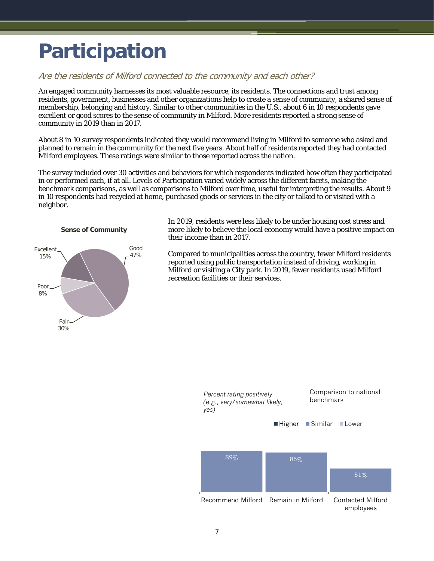# <span id="page-8-0"></span>**Participation**

#### Are the residents of Milford connected to the community and each other?

An engaged community harnesses its most valuable resource, its residents. The connections and trust among residents, government, businesses and other organizations help to create a sense of community, a shared sense of membership, belonging and history. Similar to other communities in the U.S., about 6 in 10 respondents gave excellent or good scores to the sense of community in Milford. More residents reported a strong sense of community in 2019 than in 2017.

About 8 in 10 survey respondents indicated they would recommend living in Milford to someone who asked and planned to remain in the community for the next five years. About half of residents reported they had contacted Milford employees. These ratings were similar to those reported across the nation.

The survey included over 30 activities and behaviors for which respondents indicated how often they participated in or performed each, if at all. Levels of Participation varied widely across the different facets, making the benchmark comparisons, as well as comparisons to Milford over time, useful for interpreting the results. About 9 in 10 respondents had recycled at home, purchased goods or services in the city or talked to or visited with a neighbor.



In 2019, residents were less likely to be under housing cost stress and more likely to believe the local economy would have a positive impact on their income than in 2017.

Compared to municipalities across the country, fewer Milford residents reported using public transportation instead of driving, working in Milford or visiting a City park. In 2019, fewer residents used Milford recreation facilities or their services.

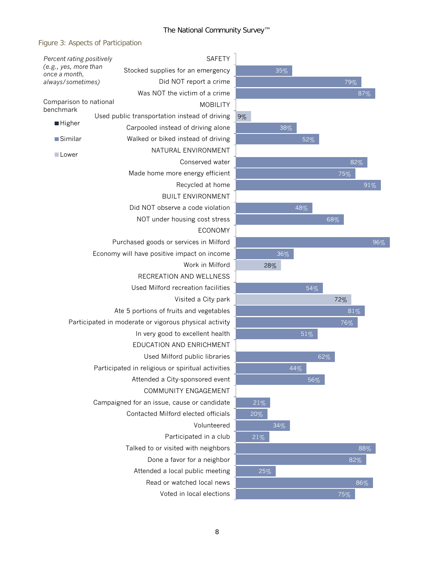#### Figure 3: Aspects of Participation

| Percent rating positively                                   |  | <b>SAFETY</b>                                     |    |  |
|-------------------------------------------------------------|--|---------------------------------------------------|----|--|
| (e.g., yes, more than<br>once a month,<br>always/sometimes) |  | Stocked supplies for an emergency                 |    |  |
|                                                             |  | Did NOT report a crime                            |    |  |
|                                                             |  | Was NOT the victim of a crime                     |    |  |
| Comparison to national<br>benchmark                         |  | <b>MOBILITY</b>                                   |    |  |
| <b>Higher</b>                                               |  | Used public transportation instead of driving     | 9% |  |
|                                                             |  | Carpooled instead of driving alone                |    |  |
| $\blacksquare$ Similar                                      |  | Walked or biked instead of driving                |    |  |
| □Lower                                                      |  | NATURAL ENVIRONMENT                               |    |  |
|                                                             |  | Conserved water                                   |    |  |
|                                                             |  | Made home more energy efficient                   |    |  |
|                                                             |  | Recycled at home                                  |    |  |
|                                                             |  | <b>BUILT ENVIRONMENT</b>                          |    |  |
|                                                             |  | Did NOT observe a code violation                  |    |  |
|                                                             |  | NOT under housing cost stress                     |    |  |
|                                                             |  | <b>ECONOMY</b>                                    |    |  |
|                                                             |  | Purchased goods or services in Milford            |    |  |
|                                                             |  | Economy will have positive impact on income       |    |  |
|                                                             |  | Work in Milford                                   |    |  |
|                                                             |  | RECREATION AND WELLNESS                           |    |  |
|                                                             |  | Used Milford recreation facilities                |    |  |
|                                                             |  | Visited a City park                               |    |  |
| Ate 5 portions of fruits and vegetables                     |  |                                                   |    |  |
| Participated in moderate or vigorous physical activity      |  |                                                   |    |  |
|                                                             |  | In very good to excellent health                  |    |  |
|                                                             |  | EDUCATION AND ENRICHMENT                          |    |  |
|                                                             |  | Used Milford public libraries                     |    |  |
|                                                             |  | Participated in religious or spiritual activities |    |  |
|                                                             |  | Attended a City-sponsored event                   |    |  |
|                                                             |  | <b>COMMUNITY ENGAGEMENT</b>                       |    |  |
|                                                             |  | Campaigned for an issue, cause or candidate       |    |  |
|                                                             |  | Contacted Milford elected officials               |    |  |
|                                                             |  | Volunteered                                       |    |  |
|                                                             |  | Participated in a club                            |    |  |
|                                                             |  | Talked to or visited with neighbors               |    |  |
|                                                             |  | Done a favor for a neighbor                       |    |  |
|                                                             |  | Attended a local public meeting                   |    |  |
|                                                             |  | Read or watched local news                        |    |  |
|                                                             |  | Voted in local elections                          |    |  |

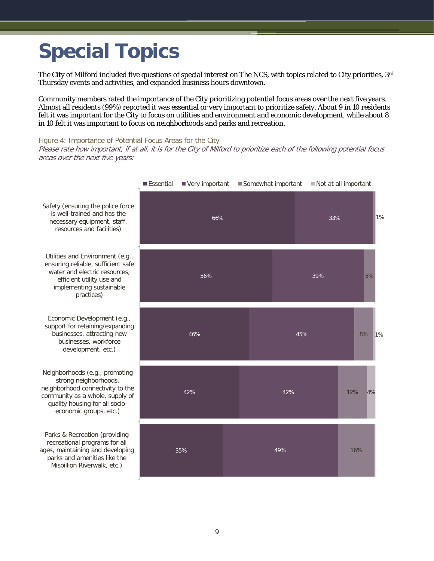# <span id="page-10-0"></span>**Special Topics**

The City of Milford included five questions of special interest on The NCS, with topics related to City priorities,  $3<sup>rd</sup>$ Thursday events and activities, and expanded business hours downtown.

Community members rated the importance of the City prioritizing potential focus areas over the next five years. Almost all residents (99%) reported it was essential or very important to prioritize safety. About 9 in 10 residents felt it was important for the City to focus on utilities and environment and economic development, while about 8 in 10 felt it was important to focus on neighborhoods and parks and recreation.

Figure 4: Importance of Potential Focus Areas for the City

Please rate how important, if at all, it is for the City of Milford to prioritize each of the following potential focus areas over the next five years:



Essential Very important Somewhat important Not at all important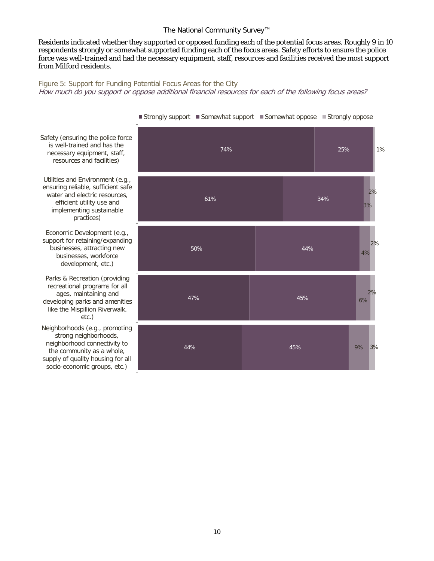Residents indicated whether they supported or opposed funding each of the potential focus areas. Roughly 9 in 10 respondents strongly or somewhat supported funding each of the focus areas. Safety efforts to ensure the police force was well-trained and had the necessary equipment, staff, resources and facilities received the most support from Milford residents.

Figure 5: Support for Funding Potential Focus Areas for the City How much do you support or oppose additional financial resources for each of the following focus areas?



Strongly support Somewhat support Somewhat oppose Strongly oppose

Safety (ensuring the police force is well-trained and has the necessary equipment, staff, resources and facilities)

Utilities and Environment (e.g., ensuring reliable, sufficient safe water and electric resources, efficient utility use and implementing sustainable practices)

Economic Development (e.g., support for retaining/expanding businesses, attracting new businesses, workforce development, etc.)

Parks & Recreation (providing recreational programs for all ages, maintaining and developing parks and amenities like the Mispillion Riverwalk, etc.)

Neighborhoods (e.g., promoting strong neighborhoods, neighborhood connectivity to the community as a whole, supply of quality housing for all socio-economic groups, etc.)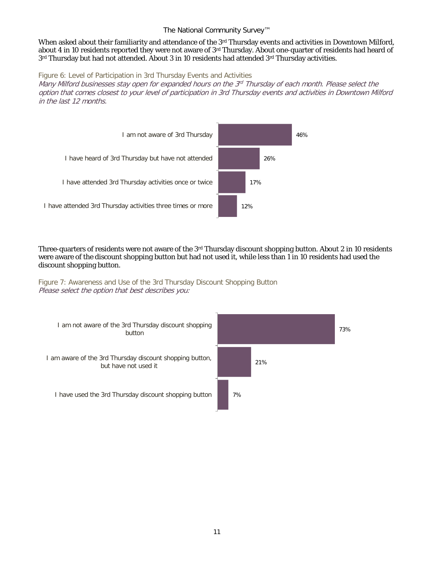When asked about their familiarity and attendance of the 3<sup>rd</sup> Thursday events and activities in Downtown Milford, about 4 in 10 residents reported they were not aware of 3rd Thursday. About one-quarter of residents had heard of 3rd Thursday but had not attended. About 3 in 10 residents had attended 3rd Thursday activities.

Figure 6: Level of Participation in 3rd Thursday Events and Activities

Many Milford businesses stay open for expanded hours on the 3<sup>rd</sup> Thursday of each month. Please select the option that comes closest to your level of participation in 3rd Thursday events and activities in Downtown Milford in the last 12 months.



Three-quarters of residents were not aware of the  $3rd$  Thursday discount shopping button. About 2 in 10 residents were aware of the discount shopping button but had not used it, while less than 1 in 10 residents had used the discount shopping button.

Figure 7: Awareness and Use of the 3rd Thursday Discount Shopping Button Please select the option that best describes you:

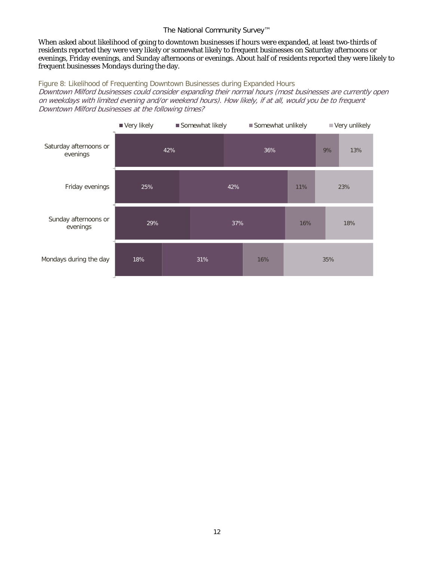When asked about likelihood of going to downtown businesses if hours were expanded, at least two-thirds of residents reported they were very likely or somewhat likely to frequent businesses on Saturday afternoons or evenings, Friday evenings, and Sunday afternoons or evenings. About half of residents reported they were likely to frequent businesses Mondays during the day.

#### Figure 8: Likelihood of Frequenting Downtown Businesses during Expanded Hours

Downtown Milford businesses could consider expanding their normal hours (most businesses are currently open on weekdays with limited evening and/or weekend hours). How likely, if at all, would you be to frequent Downtown Milford businesses at the following times?